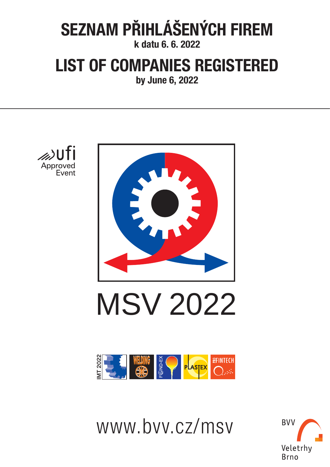# **SEZNAM PŘIHLÁŠENÝCH FIREM**

**k datu 6. 6. 2022**

## **LIST OF COMPANIES REGISTERED**

**by June 6, 2022**



www.bvv.cz/msv

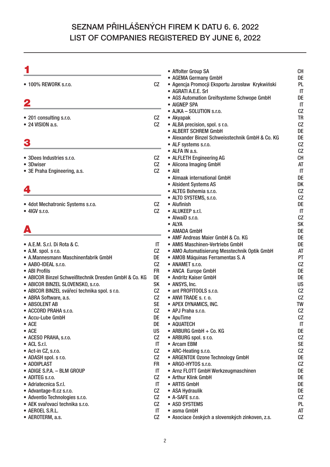|                                                      |                        | • Affolter Group SA                                                                            | <b>CH</b>                                 |
|------------------------------------------------------|------------------------|------------------------------------------------------------------------------------------------|-------------------------------------------|
| • 100% REWORK s.r.o.                                 | CZ                     | • AGEMA Germany GmbH<br>• Agencja Promocji Eksportu Jarosław Krykwiński<br>• AGRATI A.E.E. Srl | DE<br><b>PL</b><br>$\mathsf{I}\mathsf{T}$ |
| 2                                                    |                        | • AGS Automation Greifsysteme Schwope GmbH<br>• AIGNEP SPA                                     | DE<br>$\mathsf{I}\mathsf{T}$              |
| • 201 consulting s.r.o.                              | CZ                     | • AJKA - SOLUTION s.r.o.<br>• Akyapak                                                          | CZ<br><b>TR</b>                           |
| $\bullet$ 24 VISION a.s.                             | CZ                     | • ALBA precision, spol. s r.o.                                                                 | CZ                                        |
|                                                      |                        | • ALBERT SCHREM GmbH                                                                           | DE                                        |
| 3                                                    |                        | • Alexander Binzel Schweisstechnik GmbH & Co. KG                                               | DE<br>CZ                                  |
|                                                      |                        | • ALF systems s.r.o.<br>• ALFA IN a.s.                                                         | CZ                                        |
| • 3Dees Industries s.r.o.                            | CZ                     | • ALFLETH Engineering AG                                                                       | <b>CH</b>                                 |
| • 3Dwiser                                            | CZ                     | • Alicona Imaging GmbH                                                                         | AT                                        |
| • 3E Praha Engineering, a.s.                         | CZ                     | $\bullet$ Alit                                                                                 | $\mathsf{I}\mathsf{T}$                    |
|                                                      |                        | • Almaak international GmbH                                                                    | DE                                        |
|                                                      |                        | • Alsident Systems AS                                                                          | DK                                        |
| 4                                                    |                        | • ALTEG Bohemia s.r.o.                                                                         | CZ                                        |
|                                                      |                        | • ALTO SYSTEMS, s.r.o.                                                                         | CZ                                        |
| • 4dot Mechatronic Systems s.r.o.                    | CZ.                    | • Alufinish                                                                                    | DE                                        |
| $\bullet$ 4IGV s.r.o.                                | CZ                     | • ALUKEEP s.r.l.                                                                               | $\mathsf{I}\mathsf{T}$                    |
|                                                      |                        | • AlwaiD s.r.o.<br>• ALYA                                                                      | CZ<br><b>SK</b>                           |
| A                                                    |                        | • AMADA GmbH                                                                                   | DE                                        |
|                                                      |                        | • AMF Andreas Maier GmbH & Co. KG                                                              | DE                                        |
| • A.E.M. S.r.I. Di Rota & C.                         | IT.                    | • AMIS Maschinen-Vertriebs GmbH                                                                | DE                                        |
| • A.M. spol. s r.o.                                  | CZ                     | • AMO Automatisierung Messtechnik Optik GmbH                                                   | AT                                        |
| • A.Mannesmann Maschinenfabrik GmbH                  | <b>DE</b>              | • AMOB Máquinas Ferramentas S. A                                                               | <b>PT</b>                                 |
| • AABO-IDEAL s.r.o.                                  | CZ                     | • ANAMET s.r.o.                                                                                | CZ                                        |
| • ABI Profils                                        | <b>FR</b>              | • ANCA Europe GmbH                                                                             | DE                                        |
| • ABICOR Binzel Schweißtechnik Dresden GmbH & Co. KG | <b>DE</b>              | • Andritz Kaiser GmbH                                                                          | DE                                        |
| • ABICOR BINZEL SLOVENSKO, s.r.o.                    | <b>SK</b>              | • ANSYS, Inc.                                                                                  | <b>US</b>                                 |
| · ABICOR BINZEL svářecí technika spol. s r.o.        | CZ                     | • ant PROFITOOLS s.r.o.                                                                        | CZ                                        |
| • ABRA Software, a.s.                                | CZ                     | • ANVI TRADE s. r. o.                                                                          | CZ                                        |
| • ABSOLENT AB                                        | <b>SE</b>              | • APEX DYNAMICS, INC.                                                                          | <b>TW</b>                                 |
| • ACCORD PRAHA s.r.o.                                | CZ                     | • APJ Praha s.r.o.                                                                             | CZ                                        |
| • Accu-Lube GmbH                                     | DE                     | $\bullet$ ApuTime                                                                              | CZ                                        |
| $\bullet$ ACE                                        | <b>DE</b><br><b>US</b> | • AQUATECH                                                                                     | $\mathsf{I}\mathsf{T}$                    |
| $\bullet$ ACE<br>• ACESO PRAHA, s.r.o.               | CZ.                    | • ARBURG GmbH + Co. KG<br>• ARBURG spol. s r.o.                                                | DE<br>CZ                                  |
| • ACL S.r.I.                                         | IT                     | • Arcam EBM                                                                                    | <b>SE</b>                                 |
| • Act-in CZ, s.r.o.                                  | CZ                     | • ARC-Heating s.r.o.                                                                           | CZ                                        |
| • ADASH spol. s r.o.                                 | CZ                     | • ARGENTOX Ozone Technology GmbH                                                               | DE                                        |
| • ADDIPLAST                                          | <b>FR</b>              | • ARGO-HYTOS s.r.o.                                                                            | CZ                                        |
| • ADIGE S.P.A. - BLM GROUP                           | IT                     | • Arnz FLOTT GmbH Werkzeugmaschinen                                                            | DE                                        |
| • ADITEG s.r.o.                                      | CZ                     | • Arthur Klink GmbH                                                                            | DE                                        |
| • Adriatecnica S.r.I.                                | IT                     | • ARTIS GmbH                                                                                   | DE                                        |
| • Advantage-fl.cz s.r.o.                             | CZ                     | • ASA Hydraulik                                                                                | DE                                        |
| • Adventio Technologies s.r.o.                       | CZ                     | • A-SAFE s.r.o.                                                                                | CZ                                        |
| · AEK svařovací technika s.r.o.                      | CZ                     | • ASD SYSTEMS                                                                                  | PL                                        |
| • AEROEL S.R.L.                                      | IT.                    | • asma GmbH                                                                                    | AT                                        |
| • AEROTERM, a.s.                                     | CZ                     | · Asociace českých a slovenských zinkoven, z.s.                                                | CZ                                        |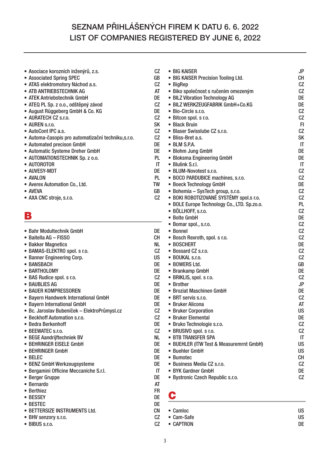| · Asociace korozních inženýrů, z.s.                 | CZ        | • BIG KAISER                                | <b>JP</b>              |
|-----------------------------------------------------|-----------|---------------------------------------------|------------------------|
| • Associated Spring SPEC                            | GB        | • BIG KAISER Precision Tooling Ltd.         | <b>CH</b>              |
| • ATAS elektromotory Náchod a.s.                    | CZ        | $\bullet$ BigRep                            | CZ                     |
| • ATB ANTRIEBSTECHNIK AG                            | AT        | · Biko společnost s ručením omezeným        | CZ                     |
| • ATEK Antriebstechnik GmbH                         | DE        | • BILZ Vibration Technology AG              | DE                     |
| · ATEQ PL Sp. z o.o., odštěpný závod                | CZ        | • BILZ WERKZEUGFABRIK GmbH+Co.KG            | DE                     |
| · August Rüggeberg GmbH & Co. KG                    | DE        | • Bio-Circle s.r.o.                         | CZ                     |
| • AURATECH CZ s.r.o.                                | CZ        | · Bitcon spol. s r.o.                       | CZ                     |
| • AUREN s.r.o.                                      | <b>SK</b> | • Black Bruin                               | F1                     |
| • AutoCont IPC a.s.                                 | CZ        | • Blaser Swisslube CZ s.r.o.                | CZ                     |
| · Automa-časopis pro automatizační techniku, s.r.o. | CZ        | • Bliss-Bret a.s.                           | <b>SK</b>              |
| • Automated precison GmbH                           | DE        | • BLM S.P.A.                                | $\mathsf{I}\mathsf{T}$ |
| • Automatic Systeme Dreher GmbH                     | DE        | • Blohm Jung GmbH                           | DE                     |
| · AUTOMATIONSTECHNIK Sp. z o.o.                     | <b>PL</b> | • Bloksma Engineering GmbH                  | DE                     |
| • AUTOROTOR                                         | IT        | • Blulink S.r.l.                            | $\mathsf{I}\mathsf{T}$ |
| • AUVESY-MDT                                        | DE        | • BLUM-Novotest s.r.o.                      | CZ                     |
| • AVALON                                            | <b>PL</b> | • BOCO PARDUBICE machines, s.r.o.           | CZ                     |
| • Averex Automation Co., Ltd.                       | TW        | • Boeck Technology GmbH                     | DE                     |
| • AVEVA                                             | GB        | • Bohemia - SysTech group, s.r.o.           | CZ                     |
| • AXA CNC stroje, s.r.o.                            | CZ        | • BOKI ROBOTIZOVANÉ SYSTÉMY spol.s r.o.     | CZ                     |
|                                                     |           | • BOLE Europe Technology Co., LTD. Sp.zo.o. | PL                     |
|                                                     |           | · BÖLLHOFF, s.r.o.                          | CZ                     |
| B                                                   |           | • Bolte GmbH                                | DE                     |
|                                                     |           | • Bomar spol., s.r.o.                       | CZ                     |
| • Bahr Modultechnik GmbH                            | DE        | • Bonnel                                    | CZ                     |
| • Baitella AG - FISSO                               | CН        | • Bosch Rexroth, spol. s r.o.               | CZ                     |
| • Bakker Magnetics                                  | NL        | • BOSCHERT                                  | DE                     |
| • BAMAS-ELEKTRO spol. s r.o.                        | CZ        | • Bossard CZ s.r.o.                         | CZ                     |
| • Banner Engineering Corp.                          | <b>US</b> | • BOUKAL s.r.o.                             | CZ                     |
| • BANSBACH                                          | DE        | • BOWERS Ltd.                               | GB                     |
| • BARTHOLOMY                                        | DE        | • Brankamp GmbH                             | DE                     |
| • BAS Rudice spol. s r.o.                           | CZ        | · BRIKLIS, spol. s r.o.                     | CZ                     |
| • BAUBLIES AG                                       | DE        | • Brother                                   | <b>JP</b>              |
| • BAUER KOMPRESSOREN                                | DE        | • Broziat Maschinen GmbH                    | DE                     |
| • Bayern Handwerk International GmbH                | DE        | • BRT servis s.r.o.                         | CZ                     |
| • Bayern International GmbH                         | DE        | • Bruker Alicona                            | AT                     |
| • Bc. Jaroslav Bubeníček – ElektroPrůmysl.cz        | CZ        | • Bruker Corporation                        | <b>US</b>              |
| • Beckhoff Automation s.r.o.                        | CZ        | • Bruker Elemental                          | DE                     |
| • Bedra Berkenhoff                                  | DE        | • Bruko Technologie s.r.o.                  | CZ                     |
| • BEEWATEC s.r.o.                                   | CZ        | • BRUSIVO spol. s r.o.                      | CZ                     |
| • BEGE Aandrijftechniek BV                          | <b>NL</b> | • BTB TRANSFER SPA                          | IT                     |
| • BEHRINGER EISELE GmbH                             | DE        | • BUEHLER (ITW Test & Measuremrnt GmbH)     | <b>US</b>              |
| • BEHRINGER GmbH                                    | DE        | • Buehler GmbH                              | <b>US</b>              |
| • BELEC                                             | DE        | • Bumotec                                   | CH                     |
| • BENZ GmbH Werkzeugsysteme                         | DE        | • Business Media CZ s.r.o.                  | CZ                     |
| · Bergamini Officine Meccaniche S.r.l.              | IT        | • BYK Gardner GmbH                          | DE                     |
| • Berger Gruppe                                     | DE        | · Bystronic Czech Republic s.r.o.           | CZ                     |
| • Bernardo                                          | AT        |                                             |                        |
| • Berthiez                                          | <b>FR</b> |                                             |                        |
| • BESSEY                                            | DE        | C                                           |                        |
|                                                     |           |                                             |                        |

- **BESTEC DE • BETTERSIZE INSTRUMENTS Ltd. CN**
- BHV senzory s.r.o.
- BIBUS s.r.o.

**• Camloc US • Cam-Safe US** CZ **• CAPTRON**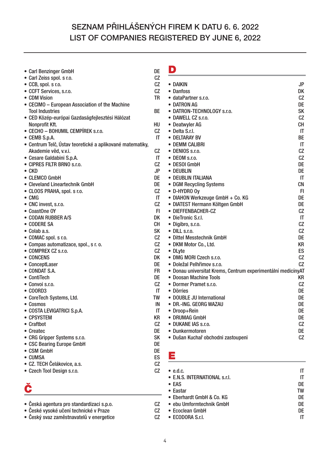| • Carl Benzinger GmbH                                     | DE        |
|-----------------------------------------------------------|-----------|
| · Carl Zeiss spol. s r.o.                                 | CZ        |
| • CCB, spol. s r.o.                                       | CZ        |
| • CCFT Services, s.r.o.                                   | CZ        |
| • CDM Vision                                              | TR        |
| • CECIMO - European Association of the Machine            |           |
| <b>Tool Industries</b>                                    | BE        |
| • CED Közép-európai Gazdaságfejlesztési Hálózat           |           |
| Nonprofit Kft.                                            | HU        |
| · CECHO - BOHUMIL CEMPÍREK s.r.o.                         | CZ        |
| • CEMB S.p.A.                                             | IT        |
| • Centrum Telč, Ústav teoretické a aplikované matematiky, |           |
| Akademie věd, v.v.i.                                      | CZ        |
| • Cesare Galdabini S.p.A.                                 | IT        |
| • CIPRES FILTR BRNO s.r.o.                                | CZ        |
| $\bullet$ CKD                                             | JP        |
| • CLEMCO GmbH                                             | DE        |
| • Cleveland Lineartechnik GmbH                            | DE        |
| • CLOOS PRAHA, spol. s r.o.                               | CZ        |
| $\bullet$ CMG                                             | IT        |
| • CNC invest, s.r.o.                                      | CZ        |
| • CoastOne OY                                             | FI        |
| • CODAN RUBBER A/S                                        | DK        |
|                                                           |           |
| • CODERE SA                                               | CН        |
| • Colab a.s.                                              | <b>SK</b> |
| • COMAC spol. s r.o.                                      | CZ        |
| • Compas automatizace, spol., s r. o.                     | CZ        |
| • COMPREX CZ s.r.o.                                       | CZ        |
| • CONCENS                                                 | DK        |
| • ConceptLaser                                            | DE        |
| • CONDAT S.A.                                             | FR        |
| • ContiTech                                               | DE        |
| • Convoi s.r.o.                                           | CZ        |
| • COORD3                                                  | IT        |
| • CoreTech Systems, Ltd.                                  | <b>TW</b> |
| • Cosmos                                                  | IN        |
| • COSTA LEVIGATRICI S.p.A.                                | IT        |
| • CPSYSTEM                                                | KR        |
| • Craftbot                                                | CZ        |
| • Createc                                                 | DE        |
| • CRG Gripper Systems s.r.o.                              | <b>SK</b> |
| • CSC Bearing Europe GmbH                                 | DE        |
| • CSM GmbH                                                | DE        |
| • CUMSA                                                   | ES        |
| • CZ. TECH Čelákovice, a.s.                               | CZ        |
| • Czech Tool Design s.r.o.                                | CZ        |
|                                                           |           |
| Č                                                         |           |
|                                                           |           |

**• Česká agentura pro standardizaci s.p.o. CZ • České vysoké učení technické v Praze CZ**

**• Český svaz zaměstnavatelů v energetice** 

#### **D**

| • DAIKIN                                                     | JP        |
|--------------------------------------------------------------|-----------|
| • Danfoss                                                    | DK        |
| · dataPartner s.r.o.                                         | CZ        |
| • DATRON AG                                                  | DE        |
| • DATRON-TECHNOLOGY s.r.o.                                   | SК        |
| • DAWELL CZ s.r.o.                                           | CZ        |
| • Deatwyler AG                                               | CН        |
| · Delta S.r.l.                                               | IT        |
| $\bullet$ deltaray by                                        | ВE        |
| • DEMM CALIBRI                                               | ΙT        |
| • DENIOS s.r.o.                                              | CZ        |
| • DEOM s.r.o.                                                | CZ        |
| • DESOI GmbH                                                 | DE        |
| $\bullet$ deublin                                            | DE        |
| • DEUBLIN ITALIANA                                           | ΙT        |
| • DGM Recycling Systems                                      | <b>CN</b> |
| • D-HYDRO Oy                                                 | FI.       |
| • DIAHON Werkzeuge GmbH + Co. KG                             | DE        |
| • DIATEST Hermann Költgen GmbH                               | DE        |
| • DIEFFENBACHER-CZ                                           | <b>CZ</b> |
| • DieTronic S.r.l.                                           | ΙT        |
| · Digibro, s.r.o.                                            | CZ        |
| · DILL s.r.o.                                                | <b>CZ</b> |
| • Dittel Messtechnik GmbH                                    | DE        |
| • DKM Motor Co., Ltd.                                        | KR        |
| • DLyte                                                      | ES        |
| • DMG MORI Czech s.r.o.                                      | CZ        |
| · Doležal Pelhřimov s.r.o.                                   | CZ        |
| · Donau universitat Krems, Centrum experimentální medicínyAT |           |
| • Doosan Machine Tools                                       | KR        |
| • Dormer Pramet s.r.o.                                       | CZ        |
| • Dörries                                                    | DE        |
| • DOUBLE JU International                                    | DF        |
| · DR.-ING. GEORG WAZAU                                       | DE        |
| • Droop+Rein                                                 | DE        |
| • DRUMAG GmbH                                                | DE        |
| $\bullet$ DUKANE IAS s.r.o.                                  | CZ        |
| • Dunkermotoren                                              | DE        |
| • Dušan Kuchař obchodni zastoupeni                           | CZ        |

#### **E**

| $\bullet$ e.d.c.              | IT |
|-------------------------------|----|
| • E.N.S. INTERNATIONAL s.r.I. | ΙT |
| $\bullet$ EAS                 | DΕ |
| • Eastar                      | TW |
| • Eberhardt GmbH & Co. KG     | DF |
| • ebu Umformtechnik GmbH      | DF |
| • Ecoclean GmbH               | DF |
| • ECODORA S.r.I.              |    |
|                               |    |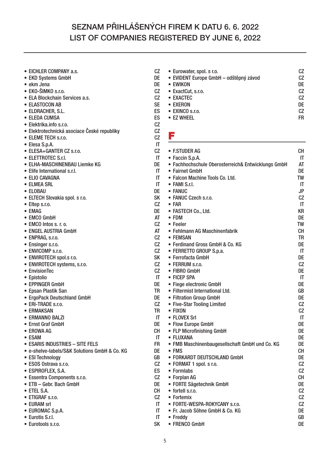- **EICHLER COMPANY a.s.** CZ<br>● FKD Systems GmbH
- **EKD Systems GmbH DE**
- 
- **ekm Jena DE • EKO-ŠIMKO s.r.o.**
- **ELA Blockchain Services a.s. CZ**
- **ELASTOCON AB SE**
- **ELDRACHER, S.L. ES**
- 
- **ELEDA CUMSA ES**
- **Elektrika.info s.r.o. CZ • Elektrotechnická asociace České republiky CZ**
- **ELEME TECH s.r.o.**
- **Elesa S.p.A. IT**
- **ELESA+GANTER CZ s.r.o. CZ**
- 
- **ELETTROTEC S.r.l. IT • ELHA-MASCHINENBAU Liemke KG**
- **Elife International s.r.l. IT**
- **ELIO CAVAGNA IT**
- **ELMEA SRL IT**
- **ELOBAU**
- **ELTECH Slovakia spol. s r.o. SK**
- **Eltep s.r.o. CZ**
- **EMAG** DE
- EMCO GmbH **AT**
- **EMCO Intos s. r. o. CZ**
- ENGEL AUSTRIA GmbH **AT**
- **ENPRAG, s.r.o. CZ**
- **Ensinger s.r.o. CZ**
- 
- **ENVICOMP s.r.o. CZ • ENVIROTECH spol.s r.o. SK**
- **ENVIROTECH systems, s.r.o. CZ**
- **EnvisionTec CZ**
- 
- **Epistolio IT • EPPINGER GmbH**
- **Epsan Plastik San TR**
- **ErgoPack Deutschland GmbH DE**
- **ERI-TRADE s.r.o. CZ**
- **ERMAKSAN**
- **ERMANNO BALZI IT**
- **Ernst Graf GmbH DE**
- **EROWA AG**
- ESAM IT
- **ESARIS INDUSTRIES SITE FELS FR**
- **e-shelve-labels/S&K Solutions GmbH & Co. KG DE**
- 
- **ESI Technology GB • ESOS Ostrava s.r.o.**
- 
- **ESPIROFLEX, S.A. ES • Essentra Components s.r.o. CZ**
- ETB Gebr. Bach GmbH
- 
- **ETEL S.A. CH • ETIGRAF s.r.o. CZ**
- 
- EURAM srl<br>● EUROMAC S.p.A. IT **• EUROMAC S.p.A.**
- **Eurotis S.r.l. IT**
- **Eurotools s.r.o. SK**

**• Eurowater, spol. s r.o. CZ • EVIDENT Europe GmbH – odštěpný závod CZ • EWIKON DE** • ExactCut, s.r.o. **• EXACTEC CZ • EXERON DE • EXINCO s.r.o. CZ** • EZ WHEEL **FR** 

#### **F**

| • F.STUDER AG                                      | CН        |
|----------------------------------------------------|-----------|
| • Faccin S.p.A.                                    | ΙT        |
| • Fachhochschule Oberosterreich& Entwicklungs GmbH | AΤ        |
| • Fairnet GmbH                                     | DE        |
| • Falcon Machine Tools Co. Ltd.                    | TW        |
| $\bullet$ FAMI S.r.I.                              | IT        |
| • FANUC                                            | JP        |
| • FANUC Czech s.r.o.                               | CZ        |
| $\bullet$ FAR                                      | IT        |
|                                                    | ΚR        |
| • FASTECH Co., Ltd.<br>$\bullet$ FDM               | DE        |
| • Feeler                                           | TW        |
| • Fehlmann AG Maschinenfabrik                      | CН        |
|                                                    |           |
| • FEMSAN                                           | TR        |
| • Ferdinand Gross GmbH & Co. KG                    | DE        |
| • FERRETTO GROUP S.p.a.                            | IT        |
| • Ferrofacta GmbH                                  | DE        |
| • FERRUM s.r.o.                                    | CZ        |
| • FIBRO GmbH                                       | DE        |
| • FICEP SPA                                        | IT        |
| • Fiege electronic GmbH                            | DE        |
| • Filtermist International Ltd.                    | GB        |
| • Filtration Group GmbH                            | DE        |
| • Five-Star Tooling Limited                        | CZ        |
| $\bullet$ FIXON                                    | CZ        |
| • FLOVEX Srl                                       | IT        |
| • Flow Europe GmbH                                 | DE        |
| • FLP Microfinishing GmbH                          | DE        |
| • FLUXANA                                          | DE        |
| • FMB Maschinenbaugesellschaft GmbH und Co. KG     | DE        |
| $\bullet$ FMS                                      | CН        |
| • FORKARDT DEUTSCHLAND GmbH                        | DE        |
| • FORMAT 1 spol. s r.o.                            | CZ        |
| • Formlabs                                         | <b>CZ</b> |
| • Forplan AG                                       | CН        |
| • FORTE Sägetechnik GmbH                           | DE        |
| • fortell s.r.o.                                   | CZ        |
| • Fortemix                                         | CZ        |
| • FORTE-WESPA-ROKYCANY s.r.o.                      | CZ        |
| • Fr. Jacob Söhne GmbH & Co. KG                    | DE        |
| • Freddy                                           | GB        |
| • FRENCO GmbH                                      | DE        |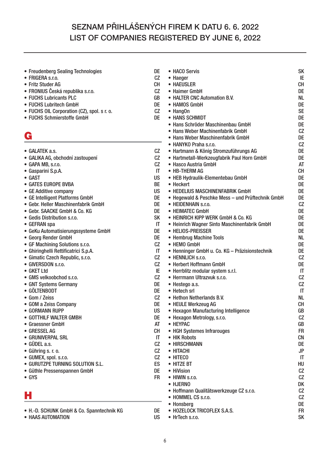- **Freudenberg Sealing Technologies DE**
- **FRIGERA s.r.o. CZ**
- 
- **Fritz Studer AG CH • FRONIUS Česká republika s.r.o. CZ**
- **FUCHS Lubricants PLC**
- **FUCHS Lubritech GmbH DE**
- **FUCHS OIL Corporation (CZ), spol. s r. o. CZ**
- **FUCHS Schmierstoffe GmbH DE**

## **G**

| • GALATEK a.s. |  |
|----------------|--|
|                |  |

- **GALIKA AG, obchodní zastoupení CZ**
- **GAPA MB, s.r.o.**
- **Gasparini S.p.A. IT**
- **GAST US**
- **GATES EUROPE BVBA** BE<br>• GE Additive company because is a series of the BE
- **GE Additive company**
- **GE Intelligent Platforms GmbH DE**
- **Gebr. Heller Maschinenfabrik GmbH DE**
- **Gebr. SAACKE GmbH & Co. KG**
- **Gedis Distribution s.r.o. SK**
- 
- **GEFRAN spa IT • GeKu Automatisierungssysteme GmbH**
- **Georg Render GmbH DE**
- **GF Machining Solutions s.r.o. CZ**
- **Ghiringhelli Rettificatrici S.p.A. IT**
- **Gimatic Czech Republic, s.r.o. CZ**
- GIVERSDON s.r.o. CZ<br>● GKET Ltd IE
- 
- **GKET Ltd IE • GMS velkoobchod s.r.o. CZ**
- **GNT Systems Germany DE**
- **GÖLTENBODT**
- 
- **Gom / Zeiss Company CZ**<br>● GOM a Zeiss Company CCZ **• GOM a Zeiss Company DE**
- **GORMANN RUPP**
- **GOTTHILF WALTER GMBH DE**
- **Graessner GmbH** AT<br>  **GRESSEL AG** CH
- **GRESSEL AG**
- **GRUNIVERPAL SRL IT**
- **GÜDEL a.s. CZ**
- **Gühring s. r. o. CZ**
- **GUMEX, spol. s.r.o. CZ**
- **GURUTZPE TURNING SOLUTION S.L.**
- **Güthle Pressenspannen GmbH DE**
- **GYS FR**

## **H**

- **H.-D. SCHUNK GmbH & Co. Spanntechnik KG DE**
- **HAAS AUTOMATION**

| • HACO Servis                                         | SK        |
|-------------------------------------------------------|-----------|
| • Haeger                                              | IE        |
| • HAEUSLER                                            | <b>CH</b> |
| • Haimer GmbH                                         | DE        |
| • HALTER CNC Automation B.V.                          | NL        |
| • HAMOS GmbH                                          | DE        |
| • HangOn                                              | <b>SE</b> |
| • HANS SCHMIDT                                        | DE        |
| • Hans Schröder Maschinenbau GmbH                     | DE        |
| • Hans Weber Machinenfabrik GmbH                      | CZ        |
| • Hans Weber Maschinenfabrik GmbH                     | DE        |
| • HANYKO Praha s.r.o.                                 | CZ        |
| • Hartmann & König Stromzuführungs AG                 | DE        |
| • Hartmetall-Werkzeugfabrik Paul Horn GmbH            | DE        |
| • Hasco Austria GmbH                                  | AT        |
| • HB-THERM AG                                         | <b>CH</b> |
| • HEB Hydraulik-Elementebau GmbH                      | DE        |
| • Heckert                                             | DE        |
| • HEDELIUS MASCHINENFABRIK GmbH                       | DE        |
| • Hegewald & Peschke Mess - und Prüftechnik GmbH      | DE        |
| • HEIDENHAIN s.r.o.                                   | CZ        |
| • HEIMATEC GmbH<br>• HEINRICH KIPP WERK GmbH & Co. KG | DE<br>DE  |
| • Heinrich Wagner Sinto Maschinenfabrik GmbH          | DE        |
| • HELIOS-PREISSER                                     | DE        |
| • Hembrug Machine Tools                               | NL        |
| • HEMO GmbH                                           | DE        |
| • Henninger GmbH u. Co. KG - Präzisionstechnik        | DE        |
| • HENNLICH s.r.o.                                     | СZ        |
| • Herbert Hoffmann GmbH                               | DE        |
| • Herrblitz modular system s.r.l.                     | IT        |
| • Herrmann Ultrazvuk s.r.o.                           | CZ        |
| • Hestego a.s.                                        | СZ        |
| • Hetech srl                                          | IT        |
| • Hethon Netherlands B.V.                             | NL        |
| • HEULE Werkzeug AG                                   | CН        |
| • Hexagon Manufacturing Intelligence                  | GB        |
| • Hexagon Metrology, s.r.o.                           | CZ        |
| • HEYPAC                                              | GB        |
| • HGH Systemes Infrarouges                            | FR        |
| • HIK Robots                                          | СN        |
| • HIRSCHMANN                                          | DE        |
| • HITACHI                                             | JP        |
| • HITECO                                              | IT        |
| <b>HITZE BT</b>                                       | HU        |
| • HiVision                                            | СZ        |
| • HIWIN s.r.o.                                        | СZ        |
| • HJERNO                                              | DK        |
| • Hoffmann Qualitätswerkzeuge CZ s.r.o.               | СZ        |
| • HOMMEL CS s.r.o.                                    | СZ        |
| • Honsberg                                            | DE        |

- **HOZELOCK TRICOFLEX S.A.S. FR**
- **HrTech s.r.o. SK**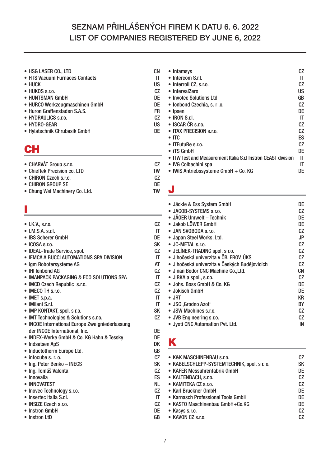- **HSG LASER CO., LTD CN**
- **HTS Vacuum Furnaces Contacts IT**
- **HUCK US**
- **HUKOS s.r.o. CZ**
- **HUNTSMAN GmbH DE**
- **HURCO Werkzeugmaschinen GmbH DE**
- **Huron Graffenstaden S.A.S. FR**
- **HYDRAULICS s.r.o. CZ**
- 
- **HYDRO-GEAR US • Hylatechnik Chrubasik GmbH**

## **CH**

| • CHARVÁT Group s.r.o.       | CZ |
|------------------------------|----|
| • Chieftek Precision co. LTD | TW |
| • CHIRON Czech s.r.o.        | CZ |
|                              |    |

- 
- **CHIRON GROUP SE DE** • Chung Wei Machinery Co. Ltd.

## **I**

| $\bullet$ I.K.V., s.r.o. |  |
|--------------------------|--|
|--------------------------|--|

- 
- **I.M.S.A. s.r.l. IT • IBS Scherer GmbH**
- **ICOSA s.r.o. SK**
- 
- **IDEAL-Trade Service, spol. CZ • IEMCA A BUCCI AUTOMATIONS SPA DIVISION IT**
- igm Robotersysteme AG
- 
- **IHI Ionbond AG CZ • IMANPACK PACKAGING & ECO SOLUTIONS SPA IT**
- **IMCD Czech Republic s.r.o. CZ**
- **IMECO TH s.r.o.**
- **IMET s.p.a. IT**
- **iMilani S.r.l. IT**
- **IMP KONTAKT, spol. s r.o. SK**
- **IMT Technologies & Solutions s.r.o. CZ**
- **INCOE International Europe Zweigniederlassung der INCOE International, Inc. DE**
- **INDEX-Werke GmbH & Co. KG Hahn & Tessky DE**
- 
- **Indsatsen ApS DK • Inductotherm Europe Ltd. GB**
- 
- **infocube s. r. o. CZ • Ing. Peter Benko – INECS**
- **Ing. Tomáš Valenta CZ**
- **Innovalia ES**
- **INNOVATEST**
- **Inovec Technology s.r.o. CZ**
- **Insertec Italia S.r.l. IT**
- **INSIZE Czech s.r.o. CZ**
- **Instron GmbH**
- **Instron LtD GB**
- **Intamsys CZ • Intercom S.r.l. IT • Interroll CZ, s.r.o. CZ** • IntervalZero **• Invotec Solutions Ltd GB • Ionbond Czechia, s. r .o. CZ • Ipsen DE • IRON S.r.l. IT • ISCAR ČR s.r.o. CZ** • ITAX PRECISION s.r.o.<br>• ITC **• ITC ES • ITFutuRe s.r.o. CZ • iTS GmbH DE • ITW Test and Measurement Italia S.r.l Instron CEAST division IT** • IVG Colbachini spa **IT • IWIS Antriebssysteme GmbH + Co. KG DE**
- 
- **J**

| • Jäckle & Ess System GmbH                    | DE |
|-----------------------------------------------|----|
| • JACOB-SYSTEMS s.r.o.                        | CZ |
| • JÄGER Umwelt – Technik                      | DE |
| • Jakob LÖWER GmbH                            | DE |
| • JAN SVOBODA s.r.o.                          | CZ |
| • Japan Steel Works, Ltd.                     | JP |
| • JC-METAL s.r.o.                             | CZ |
| • JELÍNEK-TRADING spol. s r.o.                | CZ |
| · Jihočeská univerzita v ČB, FROV, ÚKS        | CZ |
| · Jihočeská univerzita v Českých Budějovicích | CZ |
| · Jinan Bodor CNC Machine Co., Ltd.           | СN |
| • JIRKA a spol., s.r.o.                       | CZ |
| • Johs. Boss GmbH & Co. KG                    | DE |
| • Jokisch GmbH                                | DE |
| $\bullet$ JRT                                 | KR |
| • JSC , Grodno Azot'                          | BY |
| • JSW Machines s.r.o.                         | CZ |
| • JVB Engineering s.r.o.                      | CZ |
| • Jyoti CNC Automation Pvt. Ltd.              | IN |

## **K**

| • K&K MASCHINENBAU s.r.o.                   | СZ             |
|---------------------------------------------|----------------|
| • KABELSCHLEPP-SYSTEMTECHNIK, spol. s r. o. | SK             |
| • KÄFER Messuhrenfabrik GmbH                | DE             |
| • KALTENBACH, s.r.o.                        | C <sub>Z</sub> |
| • KAMITEKA CZ s.r.o.                        | CZ             |
| • Karl Bruckner GmbH                        | DE             |
| • Karnasch Professional Tools GmbH          | DE             |
| • KASTO Maschinenbau GmbH+Co.KG             | DE             |
| • Kasys s.r.o.                              | CZ             |
| • KAVON CZ s.r.o.                           | СZ             |
|                                             |                |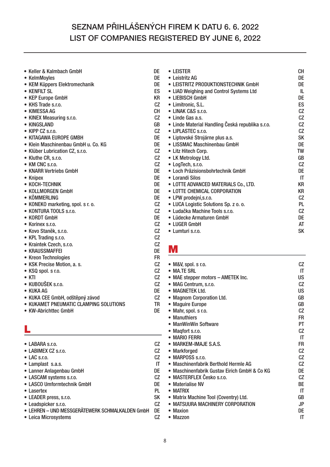- **Keller & Kalmbach GmbH DE**
- **KelmMoyles DE**
- **KEM Küppers Elektromechanik DE**
- **KENFILT SL ES**
- **KEP Europe GmbH KR**
- **KHS Trade s.r.o. CZ**
- **KIMESSA AG CH**
- **KINEX Measuring s.r.o. CZ**
- **KINGSLAND GB**
- **KIPP CZ s.r.o. CZ**
- **KITAGAWA EUROPE GMBH DE**
- **Klein Maschinenbau GmbH u. Co. KG DE**
- **Klüber Lubrication CZ, s.r.o. CZ**
- **Kluthe CR, s.r.o. CZ**
- **KM CNC s.r.o. CZ**
- **KNARR Vertriebs GmbH DE**
- **Knipex DE**
- **KOCH-TECHNIK DE**
- **KOLLMORGEN GmbH DE**
- **KÖMMERLING DE**
- **KONEKO marketing, spol. s r. o. CZ**
- **KONTURA TOOLS s.r.o. CZ**
- **KORDT GmbH DE**
- **Korinex s.r.o. CZ**
- **Kovo Staněk, s.r.o. CZ**
- **KPL Trading s.r.o. CZ**
- **Kraintek Czech, s.r.o. CZ**
- **KRAUSSMAFFEI DE**
- **Kreon Technologies FR**
- **KSK Precise Motion, a. s. CZ**
- **KSQ spol. s r.o. CZ**
- **KTI CZ**
- **KUBOUŠEK s.r.o. CZ**
- **KUKA AG DE**
- **KUKA CEE GmbH, odštěpný závod CZ**
- **KUKAMET PNEUMATIC CLAMPING SOLUTIONS TR**
- **KW-Abrichttec GmbH DE**

## **L**

- **LABIMEX CZ s.r.o. CZ**
- 
- **LAC s.r.o. CZ** • Lamplast s.a.s.
- **Lanner Anlagenbau GmbH DE**
- 
- **LASCAM systems s.r.o. CZ • LASCO Umformtechnik GmbH**
- 
- **Lasertex PL • LEADER press, s.r.o. SK**
- 
- **Leadspicker s.r.o. CZ • LEHREN – UND MESSGERÄTEWERK SCHMALKALDEN GmbH**
- **Leica Microsystems CZ**

| • Leister                                        | CН        |
|--------------------------------------------------|-----------|
| • Leistritz AG                                   | DE        |
| • LEISTRITZ PRODUKTIONSTECHNIK GmbH              | DE        |
| • LIAD Weighing and Control Systems Ltd          | IL        |
| • LIEBISCH GmbH                                  | DE        |
| • Limitronic, S.L.                               | ES        |
| • LINAK C&S s.r.o.                               | CZ        |
| • Linde Gas a.s.                                 | CZ        |
| • Linde Material Handling Česká republika s.r.o. | <b>CZ</b> |
| • LIPLASTEC s.r.o.                               | CZ        |
| · Liptovské Strojárne plus a.s.                  | SK        |
| • LISSMAC Maschinenbau GmbH                      | DE        |
| • Litz Hitech Corp.                              | <b>TW</b> |
| • LK Metrology Ltd.                              | GB        |
| • LogTech, s.r.o.                                | CZ        |
| • Loch Präzisionsbohrtechnik GmbH                | DE        |
| • Lorandi Silos                                  | ΙT        |
| • LOTTE ADVANCED MATERIALS Co., LTD.             | KR        |
| • LOTTE CHEMICAL CORPORATION                     | KR        |
| · LPW prodejní,s.r.o.                            | CZ        |
| • LUCA Logistic Solutions Sp. z o. o.            | PI        |
| • Ludačka Machine Tools s.r.o.                   | CZ        |
| • Lüdecke Armaturen GmbH                         | DE        |
| • LUGER GmbH                                     | AT        |

**• Lumturi s.r.o. SK**

#### **M**

| $\bullet$ M&V, spol. s r.o.                  | СZ |
|----------------------------------------------|----|
| • MA.TE SRL                                  | ΙT |
| • MAE stepper motors - AMETEK Inc.           | US |
| • MAG Centrum, s.r.o.                        | CZ |
| • MAGNETEK Ltd.                              | US |
| • Magnom Corporation Ltd.                    | GB |
| • Maguire Europe                             | GB |
| • Mahr, spol. s r.o.                         | CZ |
| • Manuthiers                                 | FR |
| • ManWinWin Software                         | РT |
| Magfort s.r.o.                               | CZ |
| • MARIO FERRI                                | IT |
| • MARKEM-IMAJE S.A.S.                        | FR |
| • Markforged                                 | CZ |
| • MARPOSS s.r.o.                             | CZ |
| • Maschinenfabrik Berthold Hermle AG         | CZ |
| • Maschinenfabrik Gustav Eirich GmbH & Co KG | DE |
| · MASTERFLEX Česko s.r.o.                    | CZ |
| • Materialise NV                             | ВE |
| $\bullet$ MATRIX                             | ΙT |
| • Matrix Machine Tool (Coventry) Ltd.        | GB |
| • MATSUURA MACHINERY CORPORATION             | JP |
| • Maxion                                     | DE |
| $\bullet$ Mazzon                             | ΙT |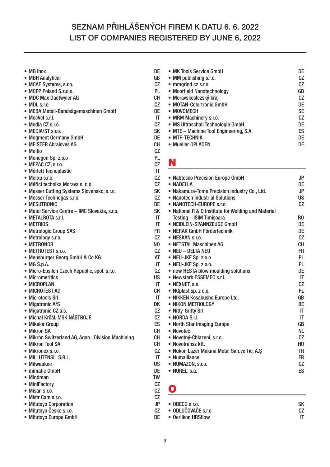- **MB Inox DE**
- **MBH Analytical GB**
- **MCAE Systems, s.r.o. CZ**
- MCPP Poland S.z.o.o.
- **MDC Max Daetwyler AG CH**
- **MDL s.r.o. CZ**
- **MEBA Metall-Bandsägemaschinen GmbH DE**
- 
- **MecVel s.r.l. IT • Media CZ s.r.o. CZ**
- 
- **MEDIA/ST s.r.o. SK • Megmeet Germany GmbH**
- **MEISTER Abraisves AG CH**
- **Meltio CZ**
- **Menegon Sp. z.o.o PL**
- **MEPAC CZ, s.r.o.**
- **Mérlett Tecnoplastic IT**
- **Merxu s.r.o. CZ**
- 
- **Měřicí technika Morava s. r. o. CZ** • Messer Cutting Systems Slovensko, s.r.o.
- **Messer Technogas s.r.o. CZ**
- 
- **MESUTRONIC**<br> **Metal Service Centre IMC Slovakia. s.r.o. DE** • Metal Service Centre - IMC Slovakia, s.r.o.
- **METALROTA s.r.l. IT**
- **METRIOS IT**
- **Metrologic Group SAS FR**
- **Metrology s.r.o. CZ**
- METRONOR NO
- 
- **METROTEST s.r.o. CZ •** Meusburger Georg GmbH & Co KG<br>• MG S.p.A. IT
- MG S.p.A.
- **Micro-Epsilon Czech Republic, spol. s.r.o. CZ**
- Micromeritics
- **MICROPLAN IT**
- MICROTEST AG
- **Microtools Srl IT**
- Migatronic A/S DK
- **Migatronic CZ a.s. CZ**
- **Michal Krčál, MSK NÁSTROJE CZ**
- **Mikalor Group ES**
- 
- **Mikron SA CH** • Mikron Switzerland AG, Agno , Division Machining
- **Mikron Tool SA CH**
- 
- **Mikronex s.r.o. CZ •** MILLUTENSIL S.R.L.<br>• Milwaukee US
- Milwaukee
- **mimatic GmbH DE**
- Mindman
- **MiniFactory CZ**
- **Misan s.r.o. CZ**
- **Mistr Cam s.r.o. CZ**
- **Mitutoyo Corporation JP**
- Mitutovo Česko s.r.o.
- **Mitutoyo Europe GmbH DE**

| • MK Tools Service GmbH                | DE |
|----------------------------------------|----|
| • MM publishing s.r.o.                 | CZ |
| $\bullet$ mmgrind.cz s.r.o.            | CZ |
| • Moorfield Nanotechnology             | GB |
| · Moravskoslezský kraj                 | CZ |
| • MOTAN-Colortronic GmbH               | DE |
| • MOVOMECH                             | SE |
| • MRM Machinery s.r.o.                 | CZ |
| • MS Ultraschall Technologie GmbH      | DE |
| • MTE – Machine Tool Engineering, S.A. | ES |
| • MTF-TECHNIK                          | DE |
| • Mueller OPLADEN                      | DE |

## **N**

| • Nabtesco Precision Europe GmbH                    | JP        |
|-----------------------------------------------------|-----------|
| • NADFIIA                                           | DE        |
| • Nakamura-Tome Precision Industry Co., Ltd.        | JP        |
| • Nanotech Industrial Solutions                     | US        |
| • NANOTECH-EUROPE s.r.o.                            | CZ        |
| • National R & D Institute for Welding and Material |           |
| Testing - ISIM Timisoara                            | R0        |
| • NEIDLEIN-SPANNZEUGE GmbH                          | DE        |
| • NERAK GmbH Fördertechnik                          | DE        |
| $\bullet$ NESKAN s.r.o.                             | CZ        |
| • NETSTAL Maschinen AG                              | CН        |
| • NEU - DELTA NEU                                   | FR        |
| $\bullet$ NEU-JKF Sp. z $0.0$                       | PL        |
| • NEU-JKF Sp. z o.o.                                | PL        |
| • new HESTA blow moulding solutions                 | DE        |
| • Newstark ESSEMEC s.r.l.                           | IT        |
| • NEXNET, a.s.                                      | <b>CZ</b> |
| • NGplast sp. z o.o.                                | PL        |
| · NIKKEN Kosakusho Europe Ltd.                      | GB        |
| • NIKON METROLOGY                                   | ВE        |
| • Nitty-Gritty Srl                                  | IT        |
| $\bullet$ NORDA S.r.I.                              | IT        |
| • North Star Imaging Europe                         | GB        |
| • Novotec                                           | NL        |
| · Novotný-Chlazení, s.r.o.                          | СZ        |
| • Novotransz kft.                                   | HU        |
| • Nukon Lazer Makina Metal San.ve Tic. A.S.         | TR        |
| • Numalliance                                       | FR        |
| · NUMAZON, s.r.o.                                   | CZ        |
| • NUREL, s.a.                                       | ES        |
|                                                     |           |

## **O**

**• OBECO s.r.o. SK • ODLUČOVAČE s.r.o. • Oerlikon HRSflow IT**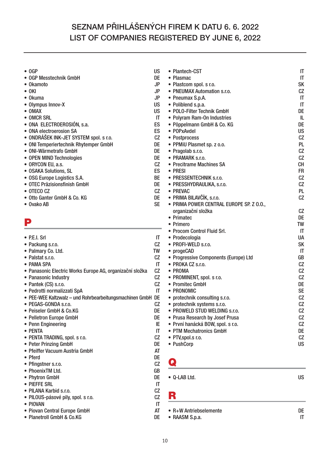| $\bullet$ OGP                                              | <b>US</b>              | • Plantech-CST                           | IT                     |
|------------------------------------------------------------|------------------------|------------------------------------------|------------------------|
| • OGP Messtechnik GmbH                                     | DE                     | • Plasmac                                | $\mathsf{I}\mathsf{T}$ |
| • Okamoto                                                  | <b>JP</b>              | • Plastcom spol. s r.o.                  | <b>SK</b>              |
| $\bullet$ OKI                                              | <b>JP</b>              | • PNEUMAX Automation s.r.o.              | CZ                     |
| • Okuma                                                    | <b>JP</b>              | • Pneumax S.p.A.                         | $\mathsf{I}\mathsf{T}$ |
| • Olympus Innov-X                                          | <b>US</b>              | • Poliblend s.p.a.                       | $\mathsf{I}\mathsf{T}$ |
| • OMAX                                                     | <b>US</b>              | • POLO-Filter Technik GmbH               | DE                     |
| • OMCR SRL                                                 | IT                     | • Polyram Ram-On Industries              | IL                     |
| • ONA ELECTROEROSIÓN, s.a.                                 | ES                     | · Pöppelmann GmbH & Co. KG               | DE                     |
| • ONA electroerosion SA                                    | ES                     | • POPxAvdel                              | <b>US</b>              |
| • ONDRÁŠEK INK-JET SYSTEM spol. s r.o.                     | CZ                     | • Postprocess                            | CZ                     |
| • ONI Temperiertechnik Rhytemper GmbH                      | DE                     | • PPMiU Plasmet sp. z o.o.               | PL                     |
| • ONI-Wärmetrafo GmbH                                      | DE                     | • Pragolab s.r.o.                        | CZ                     |
| • OPEN MIND Technologies                                   | DE                     | • PRAMARK s.r.o.                         | CZ                     |
| • ORYCON EU, a.s.                                          | CZ                     | • Precitrame Machines SA                 | <b>CH</b>              |
| • OSAKA Solutions, SL                                      | ES                     | • PRESI                                  | <b>FR</b>              |
| • OSG Europe Logistics S.A.                                | <b>BE</b>              | • PRESSENTECHNIK s.r.o.                  | CZ                     |
| • OTEC Präzisionsfinish GmbH                               | DE                     | • PRESSHYDRAULIKA, s.r.o.                | CZ                     |
| • OTECO CZ                                                 | CZ                     | • PREVAC                                 | <b>PL</b>              |
| · Otto Ganter GmbH & Co. KG                                | DE                     | • PRIMA BILAVČÍK, s.r.o.                 | CZ                     |
| • Ovako AB                                                 | <b>SE</b>              | · PRIMA POWER CENTRAL EUROPE SP. Z O.O., |                        |
|                                                            |                        | organizační složka                       | CZ                     |
|                                                            |                        | • Primatec                               | DE                     |
| P                                                          |                        | • Primero                                | TW                     |
|                                                            |                        | • Procom Control Fluid Srl.              | $\mathsf{I}\mathsf{T}$ |
| $\bullet$ P.E.I. Srl                                       | IT                     | • Prodecologia                           | <b>UA</b>              |
| · Packung s.r.o.                                           | CZ                     | • PROFI-WELD s.r.o.                      | <b>SK</b>              |
| • Palmary Co. Ltd.                                         | TW                     | • progeCAD                               | $\mathsf{I}\mathsf{T}$ |
| • Palstat s.r.o.                                           | CZ                     | • Progressive Components (Europe) Ltd    | GB                     |
| • PAMA SPA                                                 | IT                     | • PROKA CZ s.r.o.                        | CZ                     |
| • Panasonic Electric Works Europe AG, organizační složka   | CZ                     | • PROMA                                  | CZ                     |
| • Panasonic Industry                                       | CZ                     | • PROMINENT, spol. s r.o.                | CZ                     |
| • Pantek (CS) s.r.o.                                       | CZ                     | • Promitec GmbH                          | DE                     |
| • Pedrotti normalizzati SpA                                | IT                     | • PRONOMIC                               | <b>SE</b>              |
| • PEE-WEE Kaltzwalz - und Rohrbearbeitungsmachinen GmbH DE |                        | • protechnik consulting s.r.o.           | CZ                     |
| · PEGAS-GONDA s.r.o.                                       | CZ                     | • protechnik systems s.r.o.              | CZ                     |
| • Peiseler GmbH & Co.KG                                    | <b>DE</b>              | • PROWELD STUD WELDING s.r.o.            | CZ                     |
| • Pelletron Europe GmbH                                    | DE                     | • Prusa Research by Josef Prusa          | CZ                     |
| • Penn Engineering                                         | IE                     | · První hanácká BOW, spol. s r.o.        | CZ                     |
| • PENTA                                                    | $\mathsf{I}\mathsf{T}$ | • PTM Mechatronics GmbH                  | DE                     |
| · PENTA TRADING, spol. s r.o.                              | CZ                     | • PTV, spol.s r.o.                       | CZ                     |
| • Peter Prinzing GmbH                                      | DE                     | • PushCorp                               | <b>US</b>              |
| · Pfeiffer Vacuum Austria GmbH                             | AT                     |                                          |                        |
| • Pferd                                                    | DE                     |                                          |                        |
| • Pfingstner s.r.o.                                        | CZ                     | Q                                        |                        |
| • PhoenixTM Ltd.                                           | GB                     |                                          |                        |
| • Phytron GmbH                                             | DE                     | • Q-LAB Ltd.                             | <b>US</b>              |
| • PIEFFE SRL                                               | IT                     |                                          |                        |
| · PILANA Karbid s.r.o.                                     | CZ                     |                                          |                        |
| · PILOUS-pásové pily, spol. s r.o.                         | CZ                     | R                                        |                        |
| • PIOVAN                                                   | IT                     |                                          |                        |
| • Piovan Central Europe GmbH                               | AT                     | • R+W Antriebselemente                   | DE                     |

**• Planetroll GmbH & Co.KG DE**

**• RAASM S.p.a. IT**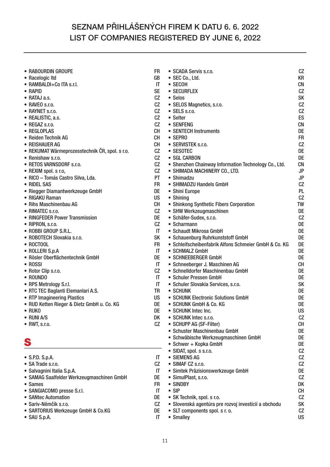| • RABOURDIN GROUPE                             | FR.                    | • SCADA Servis s.r.o.                                 | CZ        |
|------------------------------------------------|------------------------|-------------------------------------------------------|-----------|
| • Racelogic Itd                                | GB                     | • SEC Co., Ltd.                                       | <b>KR</b> |
| • RAMBALDI+Co ITA s.r.l.                       | IT                     | • SECOH                                               | <b>CN</b> |
| • RAPID                                        | <b>SE</b>              | • SECURFLEX                                           | CZ        |
| $\bullet$ RATAJ a.s.                           | CZ                     | • Selos                                               | <b>SK</b> |
| • RAVEO s.r.o.                                 | CZ                     | • SELOS Magnetics, s.r.o.                             | CZ        |
| • RAYNET s.r.o.                                | CZ                     | • SELS s.r.o.                                         | CZ        |
| • REALISTIC, a.s.                              | CZ                     | • Selter                                              | ES        |
| • REGAZ s.r.o.                                 | CZ                     | • SENFENG                                             | <b>CN</b> |
| • REGLOPLAS                                    | <b>CH</b>              | • SENTECH Instruments                                 | DE        |
| • Reiden Technik AG                            | <b>CH</b>              | • SEPRO                                               | <b>FR</b> |
| • REISHAUER AG                                 | <b>CH</b>              | • SERVISTEK s.r.o.                                    | CZ        |
| • REKUMAT Wärmeprozesstechnik ČR, spol. s r.o. | CZ                     | • SESOTEC                                             | DE        |
| • Renishaw s.r.o.                              | CZ                     | • SGL CARBON                                          | DE        |
| • RETOS VARNSDORF s.r.o.                       | CZ                     | • Shenzhen Chainway Information Technology Co., Ltd.  | <b>CN</b> |
| • REXIM spol. s r.o,                           | CZ                     | • SHIMADA MACHINERY CO., LTD.                         | <b>JP</b> |
| · RICO - Tomás Castro Silva, Lda.              | PT                     | • Shimadzu                                            | <b>JP</b> |
| • RIDEL SAS                                    | <b>FR</b>              | • SHIMADZU Handels GmbH                               | CZ        |
| • Riegger Diamantwerkzeuge GmbH                | DE                     | • Shini Europe                                        | PL        |
| • RIGAKU Raman                                 | <b>US</b>              | • Shining                                             | CZ        |
| • Rihs Maschinenbau AG                         | CH                     | • Shinkong Synthetic Fibers Corporation               | <b>TW</b> |
| • RIMATEC s.r.o.                               | CZ                     | • SHW Werkzeugmaschinen                               | DE        |
| • RINGFEDER Power Transmission                 | DE                     | • Schäfer-Sudex, s.r.o.                               | CZ        |
| • RIPRON, s.r.o.                               | CZ                     | • Scharmann                                           | DE        |
| • ROBBI GROUP S.R.L.                           | $\mathsf{I}\mathsf{T}$ | • Schaudt Mikrosa GmbH                                | DE        |
| • ROBOTECH Slovakia s.r.o.                     | <b>SK</b>              | • Schauenburg Ruhrkunststoff GmbH                     | DE        |
| • ROCTOOL                                      | <b>FR</b>              | • Schleifscheibenfabrik Alfons Schmeier GmbH & Co. KG | DE        |
| • ROLLERI S.p.A                                | IT                     | • SCHMALZ GmbH                                        | DE        |
| • Rösler Oberflächentechnik GmbH               | DE                     | • SCHNEEBERGER GmbH                                   | DE        |
| • ROSSI                                        | IT                     | • Schneeberger J. Maschinen AG                        | <b>CH</b> |
| • Rotor Clip s.r.o.                            | CZ                     | • Schnelldorfer Maschinenbau GmbH                     | DE        |
| • ROUNDO                                       | IT                     | • Schuler Pressen GmbH                                | DE        |
| • RPS Metrology S.r.l.                         | IT                     | • Schuler Slovakia Services, s.r.o.                   | <b>SK</b> |
| • RTC TEC Baglanti Elemanlari A.S.             | TR                     | • SCHUNK                                              | DE        |
| • RTP Imagineering Plastics                    | <b>US</b>              | • SCHUNK Electronic Solutions GmbH                    | DE        |
| · RUD Ketten Rieger & Dietz GmbH u. Co. KG     | DE                     | • SCHUNK GmbH & Co. KG                                | DE        |
| $\bullet$ RUKO                                 | <b>DE</b>              | • SCHUNK Intec Inc.                                   | <b>US</b> |
| • RUNIA/S                                      | DK                     | • SCHUNK Intec s.r.o.                                 | CZ        |
| • RWT, s.r.o.                                  | CZ                     | • SCHUPP AG (SF-Filter)                               | <b>CH</b> |
|                                                |                        | • Schuster Maschinenbau GmbH                          | DE        |
|                                                |                        | • Schwäbische Werkzeugmaschinen GmbH                  | DE        |
| S                                              |                        | • Schwer + Kopka GmbH                                 | DE        |
|                                                |                        | • SIDAT, spol. s s.r.o.                               | CZ        |
| $\bullet$ S.P.D. S.p.A.                        | IT                     | • SIEMENS AG                                          | CZ        |
| • SA Trade s.r.o.                              | CZ                     | • SIMAF CZ s.r.o.                                     | CZ        |
| • Salvagnini Italia S.p.A.                     | $\mathsf{I}\mathsf{T}$ | • Simtek Präzisionswerkzeuge GmbH                     | DE        |
| • SAMAG Saalfelder Werkzeugmaschinen GmbH      | DE                     | • SimulPlast, s.r.o.                                  | CZ        |

- **Sames FR**
- **SANGIACOMO presse S.r.l. IT**
- **SANtec Automation DE**
- 
- **Sariv-Němčík s.r.o. CZ • SARTORIUS Werkzeuge GmbH & Co.KG DE**
- SAU S.p.A.

11

• Smalley

**• SINDBY DK • SIP CH • SK Technik, spol. s r.o. CZ • Slovenská agentúra pre rozvoj investícií a obchodu SK • SLT components spol. s r. o. CZ**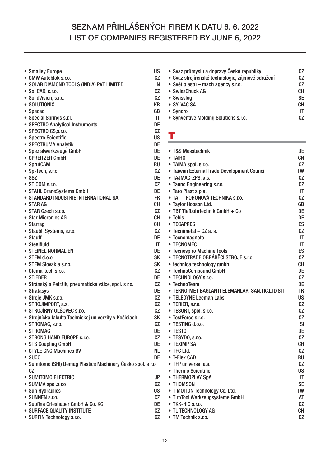- Smalley Europe US<br>• SMW Autoblok s.r.o. CZ
- 
- **SMW Autoblok s.r.o. CZ • SOLAR DIAMOND TOOLS (INDIA) PVT LIMITED IN**
- SoliCAD, s.r.o.
- **SolidVision, s.r.o. CZ**
- **SOLUTIONIX KR**
- **Specac GB**
- 
- **Special Springs s.r.l. IT • SPECTRO Analytical Instruments DE**
- **SPECTRO CS,s.r.o. CZ**
- Spectro Scientific<br>• SPECTRUMA Analytik **DE**
- **SPECTRUMA Analytik**
- **Spezialwerkzeuge GmbH DE**
- **SPREITZER GmbH DE**
- 
- SprutCAM RU<br>**•** Sp-Tech. s.r.o. **CZ • Sp-Tech, s.r.o.**
- **SSZ DE**
- 
- **ST COM s.r.o. CZ • STAHL CraneSystems GmbH**
- **STANDARD INDUSTRIE INTERNATIONAL SA FR**
- 
- STAR AG CH<br>● STAR Czech s.r.o. CZ **• STAR Czech s.r.o. CZ**
- **Star Micronics AG**
- **Starrag CH**
- **Stäubli Systems, s.r.o. CZ**
- **Stauff DE**
- Steelfluid **IT**
- **STEINEL NORMALIEN DE**
- 
- **STEM d.o.o.**<br>• STEM Slovakia s.r.o. SK **• STEM Slovakia s.r.o. SK**
- **Stema-tech s.r.o. CZ**
- 
- **STIEBER DE**<br>• Stránský a Petržík, pneumatické válce, spol. s r.o. dec CZ **• Stránský a Petržík, pneumatické válce, spol. s r.o. CZ**
- **Stratasys**
- **Stroje JMK s.r.o. CZ**
- 
- **STROJIMPORT, a.s.** CZ<br>• STROJÍRNY OLŠOVEC s.r.o. CZ **• STROJÍRNY OLŠOVEC s.r.o.**
- **Strojnícka fakulta Technickej univerzity v Košiciach SK**
- **STROMAC, s.r.o. CZ**
- 
- STROMAG DE<br>• STRONG HAND EUROPE s.r.o. **DE • STRONG HAND EUROPE s.r.o. CZ**
- **STS Coupling GmbH**
- STYLE CNC Machines BV<br>• SUCO DE
- **SUCO DE**
- **Sumitomo (SHI) Demag Plastics Machinery Česko spol. s r.o. CZ**
- SUMITOMO ELECTRIC<br>• SUMMA spol.s.r.o<br>CZ
- **SUMMA spol.s.r.o CZ**
- **Sun Hydraulics US**
- 
- **SUNNEN s.r.o. CZ • Supfina Grieshaber GmbH & Co. KG DE**
- **SURFACE QUALITY INSTITUTE**
- **SURFIN Technology s.r.o. CZ**

**• Svaz průmyslu a dopravy České republiky CZ • Svaz strojírenské technologie, zájmové sdružení CZ • Svět plastů – mach agency s.r.o. CZ • SwissChuck AG** • Swisslog SE **• SYLVAC SA CH** • Syncro **IT • Synventive Molding Solutions s.r.o. CZ**

#### **T**

| • T&S Messtechnik                               | DE             |
|-------------------------------------------------|----------------|
| • TAIHO                                         | СN             |
| • TAIMA spol. s r.o.                            | CZ             |
| · Taiwan External Trade Development Council     | <b>TW</b>      |
| • TAJMAC-ZPS, a.s.                              | CZ             |
| • Tanno Engineering s.r.o.                      | CZ             |
| • Taro Plast s.p.a.                             | ΙT             |
| • TAT – POHONOVÁ TECHNIKA s.r.o.                | CZ             |
| • Taylor Hobson Ltd.                            | GB             |
| • TBT Tiefbohrtechnik GmbH + Co                 | DE             |
| • Tebis                                         | DE             |
| • TECAPRES                                      | ES             |
| • Tecnimetal - CZ a. s.                         | CZ             |
| • Tecnomagnete                                  | IT             |
| • TECNOMEC                                      | IT             |
| • Tecnospiro Machine Tools                      | ES             |
| · TECNOTRADE OBRÁBĚCÍ STROJE s.r.o.             | CZ             |
| • technica technology gmbh                      | CН             |
| • TechnoCompound GmbH                           | DE             |
| • TECHNOLOGY s.r.o.                             | CZ             |
| • TechnoTeam                                    | DE             |
| ● TEKNO-MET BAGLANTI ELEMANLARI SAN.TIC.LTD.STI | TR             |
| • TELEDYNE Leeman Labs                          | US             |
| · TERIER, s.r.o.                                | CZ             |
| · TESORT, spol. s r.o.                          | CZ             |
| • TestForce s.r.o.                              | CZ             |
| · TESTING d.o.o.                                | SI             |
| • TESTO                                         | DE             |
| · TESYDO, s.r.o.                                | CZ             |
| • TEXIMP SA                                     | <b>CH</b>      |
| • TFC Ltd.                                      | CZ             |
| • T-Flex CAD                                    | RU             |
| • TFP universal a.s.                            | CZ             |
| • Thermo Scientific                             | US             |
| • THERMOPLAY SpA                                | IT             |
| • THOMSON                                       | <b>SE</b>      |
| • TIMOTION Technology Co. Ltd.                  | TW             |
| • TiroTool Werkzeugsysteme GmbH                 | AT             |
| ● TKK-HIG s.r.o.                                | CZ             |
| • TL TECHNOLOGY AG                              | CН             |
| $\bullet$ TM Technik s r o                      | C <sub>2</sub> |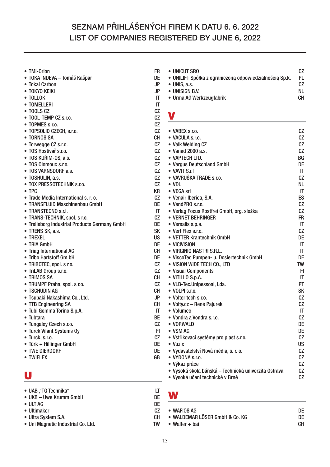- **TMI-Orion FR**
- **TOKA INDEVA Tomáš Kašpar DE**
- **Tokai Carbon JP**
- **TOKYO KEIKI**
- **TOLLOK IT**
- TOMELLERI **IT**
- 
- **TOOLS CZ CZ • TOOL-TEMP CZ s.r.o. CZ**
- 
- **TOPMES s.r.o. CZ • TOPSOLID CZECH, s.r.o. CZ**
- 
- **TORNOS SA CH** • Torwegge CZ s.r.o.
- 
- **TOS Hostivař s.r.o. CZ • TOS KUŘIM-OS, a.s. CZ**
- **TOS Olomouc s.r.o. CZ**
- **TOS VARNSDORF a.s.**
- **TOSHULIN, a.s. CZ**
- **TOX PRESSOTECHNIK s.r.o. CZ**
- **TPC KR**
- **Trade Media International s. r. o. CZ**
- **TRANSFLUID Maschinenbau GmbH**<br> **TRANSTECNO s.r.l.** IT
- 
- **TRANSTECNO s.r.l. IT • TRANS-TECHNIK, spol. s r.o.**
- **Trelleborg Industrial Products Germany GmbH DE**
- **TRENS SK, a.s.** SK
- **TREXEL US**
- **TRIA GmbH DE**
- **Triag International AG CH**
- **Tribo Hartstoff Gm bH DE**<br>  **TRIBOTEC**, spol, s r.o. CZ
- **TRIBOTEC, spol. s r.o. CZ**
- **TriLAB Group s.r.o. CZ**
- 
- **TRIMOS SA** CH<br>  **TRUMPF Praha.** spol. s r.o. CZ **• TRUMPF Praha, spol. s r.o. CZ**
- **TSCHUDIN AG**
- **Tsubaki Nakashima Co., Ltd. JP**
- **TTB Engineering SA CH**
- **Tubi Gomma Torino S.p.A. IT**
- 
- **Tubtara BE • Tungaloy Czech s.r.o. CZ**
- **Turck Vilant Systems Oy FI**
- Turck, s.r.o.
- **Türk + Hillinger GmbH DE**
- **TWE DIERDORF DE**
- **TWIFLEX**

## **U**

- 
- **UKB Uwe Krumm GmbH DE**
- **ULT AG DE**
- Ultimaker
- **Ultra System S.A. CH**
- **Uni Magnetic Industrial Co. Ltd. TW**
- **UNICUT SRO CZ • UNILIFT Spółka z ograniczoną odpowiedzialnością Sp.k. PL • UNIS, a.s. CZ** • UNISIGN B.V. NL
- **Urma AG Werkzeugfabrik CH**

## **V**

| • VABEX s.r.o.                                       | CZ        |
|------------------------------------------------------|-----------|
| • VACULA s.r.o.                                      | CZ        |
| • Valk Welding CZ                                    | CZ        |
| • Vanad 2000 a.s.                                    | CZ        |
| • VAPTECH LTD.                                       | BG        |
| • Vargus Deutschland GmbH                            | DE        |
| • VAVIT S.r.I                                        | IT        |
| · VAVRUŠKA TRADE s.r.o.                              | CZ        |
| $\bullet$ VDL                                        | NL        |
| • VEGA srl                                           | IT        |
| • Venair Iberica, S.A.                               | ES        |
| • VendPRO s.r.o.                                     | CZ        |
| • Verlag Focus Rostfrei GmbH, org. složka            | CZ        |
| • VERNET BEHRINGER                                   | FR        |
| • Versalis s.p.a.                                    | IT        |
| • VertiFlex s.r.o.                                   | CZ        |
| • VETTER Krantechnik GmbH                            | DE        |
| • VICIVISION                                         | IT        |
| • VIRGINIO NASTRI S.R.L.                             | IT        |
| · ViscoTec Pumpen- u. Dosiertechnik GmbH             | DE        |
| · VISION WIDE TECH CO., LTD                          | <b>TW</b> |
| • Visual Components                                  | FI        |
| • VITILLO S.p.A.                                     | IT        |
| • VLB-Tec.Unipessoal, Lda.                           | PT        |
| • VOLPI s.r.o.                                       | <b>SK</b> |
| · Volter tech s.r.o.                                 | CZ        |
| · Volty.cz - René Pajurek                            | CZ        |
| • Volumec                                            | IT        |
| • Vondra a Vondra s.r.o.                             | CZ        |
| • VORWALD                                            | DE        |
| • VSM AG                                             | DE        |
| · Vstřikovací systémy pro plast s.r.o.               | CZ        |
| • Vuzix                                              | US        |
| · Vydavatelství Nová média, s. r. o.                 | CZ        |
| • VYDONA s.r.o.                                      | CZ        |
| • Výkaz práce                                        | CZ        |
| • Vysoká škola báňská – Technická univerzita Ostrava | СZ        |
| • Vysoké učení technické v Brně                      | CZ        |

**W**

| $\bullet$ WAFIOS AG            | DΕ |
|--------------------------------|----|
| • WALDEMAR LÖSER GmbH & Co. KG | DE |
| • Walter + bai                 | CН |

- **UAB ''TG Technika'' LT**
	-